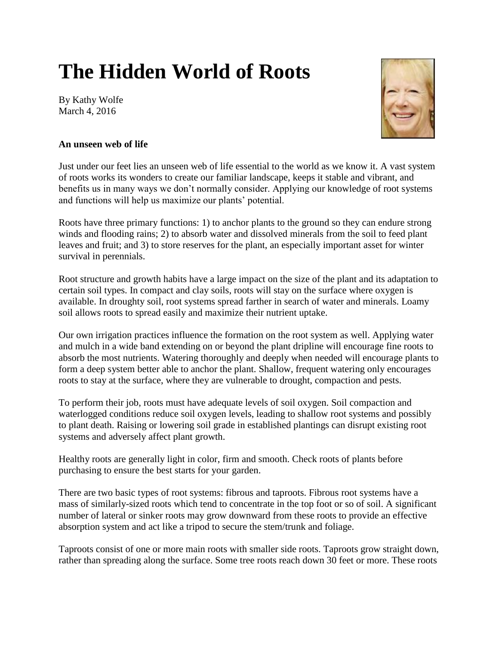## **The Hidden World of Roots**

By Kathy Wolfe March 4, 2016



## **An unseen web of life**

Just under our feet lies an unseen web of life essential to the world as we know it. A vast system of roots works its wonders to create our familiar landscape, keeps it stable and vibrant, and benefits us in many ways we don't normally consider. Applying our knowledge of root systems and functions will help us maximize our plants' potential.

Roots have three primary functions: 1) to anchor plants to the ground so they can endure strong winds and flooding rains; 2) to absorb water and dissolved minerals from the soil to feed plant leaves and fruit; and 3) to store reserves for the plant, an especially important asset for winter survival in perennials.

Root structure and growth habits have a large impact on the size of the plant and its adaptation to certain soil types. In compact and clay soils, roots will stay on the surface where oxygen is available. In droughty soil, root systems spread farther in search of water and minerals. Loamy soil allows roots to spread easily and maximize their nutrient uptake.

Our own irrigation practices influence the formation on the root system as well. Applying water and mulch in a wide band extending on or beyond the plant dripline will encourage fine roots to absorb the most nutrients. Watering thoroughly and deeply when needed will encourage plants to form a deep system better able to anchor the plant. Shallow, frequent watering only encourages roots to stay at the surface, where they are vulnerable to drought, compaction and pests.

To perform their job, roots must have adequate levels of soil oxygen. Soil compaction and waterlogged conditions reduce soil oxygen levels, leading to shallow root systems and possibly to plant death. Raising or lowering soil grade in established plantings can disrupt existing root systems and adversely affect plant growth.

Healthy roots are generally light in color, firm and smooth. Check roots of plants before purchasing to ensure the best starts for your garden.

There are two basic types of root systems: fibrous and taproots. Fibrous root systems have a mass of similarly-sized roots which tend to concentrate in the top foot or so of soil. A significant number of lateral or sinker roots may grow downward from these roots to provide an effective absorption system and act like a tripod to secure the stem/trunk and foliage.

Taproots consist of one or more main roots with smaller side roots. Taproots grow straight down, rather than spreading along the surface. Some tree roots reach down 30 feet or more. These roots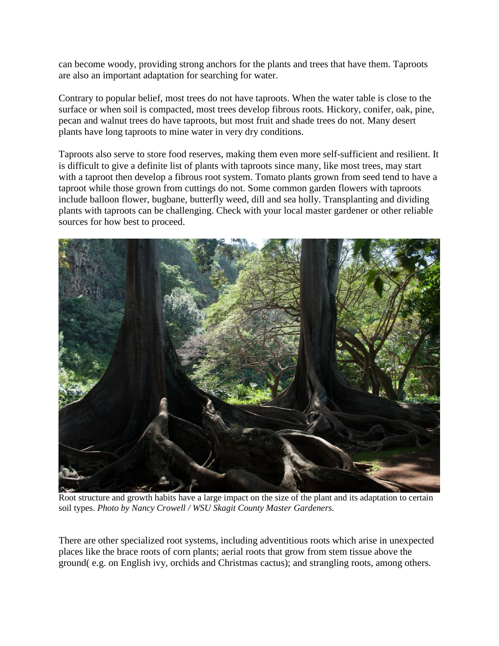can become woody, providing strong anchors for the plants and trees that have them. Taproots are also an important adaptation for searching for water.

Contrary to popular belief, most trees do not have taproots. When the water table is close to the surface or when soil is compacted, most trees develop fibrous roots. Hickory, conifer, oak, pine, pecan and walnut trees do have taproots, but most fruit and shade trees do not. Many desert plants have long taproots to mine water in very dry conditions.

Taproots also serve to store food reserves, making them even more self-sufficient and resilient. It is difficult to give a definite list of plants with taproots since many, like most trees, may start with a taproot then develop a fibrous root system. Tomato plants grown from seed tend to have a taproot while those grown from cuttings do not. Some common garden flowers with taproots include balloon flower, bugbane, butterfly weed, dill and sea holly. Transplanting and dividing plants with taproots can be challenging. Check with your local master gardener or other reliable sources for how best to proceed.



Root structure and growth habits have a large impact on the size of the plant and its adaptation to certain soil types. *Photo by Nancy Crowell / WSU Skagit County Master Gardeners.* 

There are other specialized root systems, including adventitious roots which arise in unexpected places like the brace roots of corn plants; aerial roots that grow from stem tissue above the ground( e.g. on English ivy, orchids and Christmas cactus); and strangling roots, among others.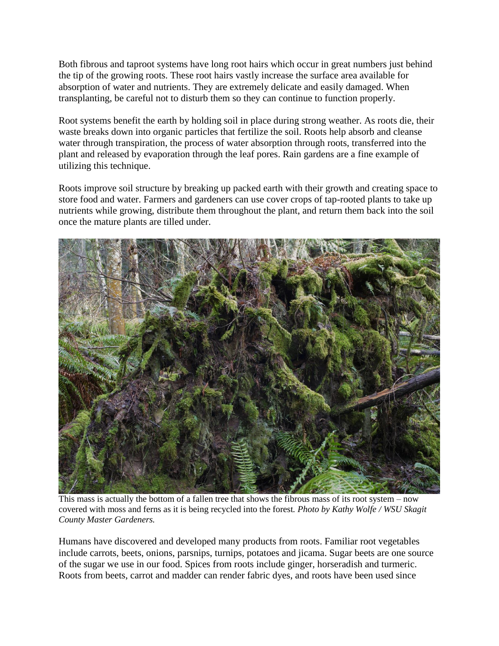Both fibrous and taproot systems have long root hairs which occur in great numbers just behind the tip of the growing roots. These root hairs vastly increase the surface area available for absorption of water and nutrients. They are extremely delicate and easily damaged. When transplanting, be careful not to disturb them so they can continue to function properly.

Root systems benefit the earth by holding soil in place during strong weather. As roots die, their waste breaks down into organic particles that fertilize the soil. Roots help absorb and cleanse water through transpiration, the process of water absorption through roots, transferred into the plant and released by evaporation through the leaf pores. Rain gardens are a fine example of utilizing this technique.

Roots improve soil structure by breaking up packed earth with their growth and creating space to store food and water. Farmers and gardeners can use cover crops of tap-rooted plants to take up nutrients while growing, distribute them throughout the plant, and return them back into the soil once the mature plants are tilled under.



This mass is actually the bottom of a fallen tree that shows the fibrous mass of its root system – now covered with moss and ferns as it is being recycled into the forest*. Photo by Kathy Wolfe / WSU Skagit County Master Gardeners.* 

Humans have discovered and developed many products from roots. Familiar root vegetables include carrots, beets, onions, parsnips, turnips, potatoes and jicama. Sugar beets are one source of the sugar we use in our food. Spices from roots include ginger, horseradish and turmeric. Roots from beets, carrot and madder can render fabric dyes, and roots have been used since